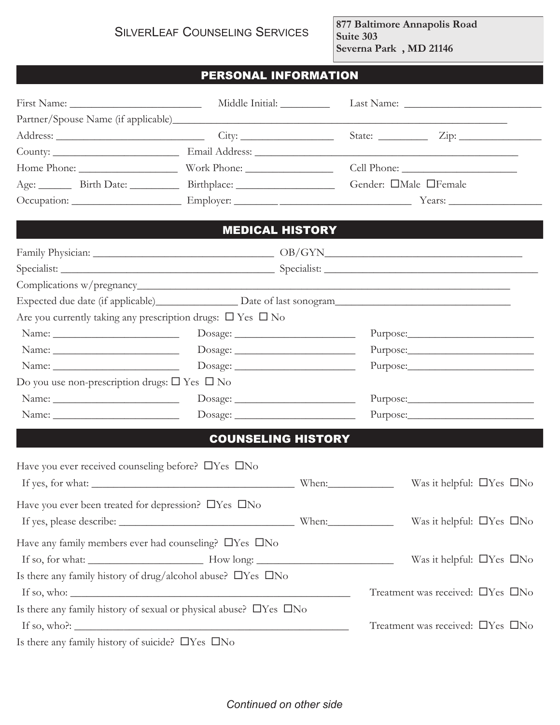**877 Baltimore Annapolis Road Suite 303 Severna Park , MD 21146**

## PERSONAL INFORMATION

|                                                                                                                                                                                                                                                                                                                                                                                                               | Middle Initial: _____________ |                                  |                              |                                      |
|---------------------------------------------------------------------------------------------------------------------------------------------------------------------------------------------------------------------------------------------------------------------------------------------------------------------------------------------------------------------------------------------------------------|-------------------------------|----------------------------------|------------------------------|--------------------------------------|
|                                                                                                                                                                                                                                                                                                                                                                                                               |                               |                                  |                              |                                      |
| Address: City: City:                                                                                                                                                                                                                                                                                                                                                                                          |                               |                                  |                              |                                      |
|                                                                                                                                                                                                                                                                                                                                                                                                               |                               |                                  |                              |                                      |
|                                                                                                                                                                                                                                                                                                                                                                                                               |                               |                                  |                              |                                      |
|                                                                                                                                                                                                                                                                                                                                                                                                               |                               |                                  | Gender: <b>OMale OFemale</b> |                                      |
|                                                                                                                                                                                                                                                                                                                                                                                                               |                               |                                  |                              |                                      |
|                                                                                                                                                                                                                                                                                                                                                                                                               |                               |                                  |                              |                                      |
|                                                                                                                                                                                                                                                                                                                                                                                                               |                               | <b>MEDICAL HISTORY</b>           |                              |                                      |
|                                                                                                                                                                                                                                                                                                                                                                                                               |                               |                                  |                              |                                      |
|                                                                                                                                                                                                                                                                                                                                                                                                               |                               |                                  |                              |                                      |
|                                                                                                                                                                                                                                                                                                                                                                                                               |                               |                                  |                              |                                      |
|                                                                                                                                                                                                                                                                                                                                                                                                               |                               |                                  |                              |                                      |
| Are you currently taking any prescription drugs: $\Box$ Yes $\Box$ No                                                                                                                                                                                                                                                                                                                                         |                               |                                  |                              |                                      |
|                                                                                                                                                                                                                                                                                                                                                                                                               |                               |                                  |                              |                                      |
|                                                                                                                                                                                                                                                                                                                                                                                                               |                               |                                  |                              |                                      |
| Name: $\frac{1}{\sqrt{1-\frac{1}{2}}\sqrt{1-\frac{1}{2}}\left(\frac{1}{2}-\frac{1}{2}\right)}$                                                                                                                                                                                                                                                                                                                | Dosage:                       |                                  |                              |                                      |
| Do you use non-prescription drugs: $\square$ Yes $\square$ No                                                                                                                                                                                                                                                                                                                                                 |                               |                                  |                              |                                      |
|                                                                                                                                                                                                                                                                                                                                                                                                               | Dosage:                       |                                  |                              |                                      |
| Name: $\frac{1}{\sqrt{1-\frac{1}{2}}\sqrt{1-\frac{1}{2}}\sqrt{1-\frac{1}{2}}\sqrt{1-\frac{1}{2}}\sqrt{1-\frac{1}{2}}\sqrt{1-\frac{1}{2}}\sqrt{1-\frac{1}{2}}\sqrt{1-\frac{1}{2}}\sqrt{1-\frac{1}{2}}\sqrt{1-\frac{1}{2}}\sqrt{1-\frac{1}{2}}\sqrt{1-\frac{1}{2}}\sqrt{1-\frac{1}{2}}\sqrt{1-\frac{1}{2}}\sqrt{1-\frac{1}{2}}\sqrt{1-\frac{1}{2}}\sqrt{1-\frac{1}{2}}\sqrt{1-\frac{1}{2}}\sqrt{1-\frac{1}{2}}$ |                               |                                  |                              |                                      |
|                                                                                                                                                                                                                                                                                                                                                                                                               | <b>COUNSELING HISTORY</b>     |                                  |                              |                                      |
|                                                                                                                                                                                                                                                                                                                                                                                                               |                               |                                  |                              |                                      |
| Have you ever received counseling before? OYes ONo                                                                                                                                                                                                                                                                                                                                                            |                               |                                  |                              |                                      |
|                                                                                                                                                                                                                                                                                                                                                                                                               |                               |                                  |                              | Was it helpful: $\Box$ Yes $\Box$ No |
| Have you ever been treated for depression? DYes DNo                                                                                                                                                                                                                                                                                                                                                           |                               |                                  |                              |                                      |
|                                                                                                                                                                                                                                                                                                                                                                                                               |                               |                                  |                              | Was it helpful: $\Box$ Yes $\Box$ No |
| Have any family members ever had counseling? $\Box$ Yes $\Box$ No                                                                                                                                                                                                                                                                                                                                             |                               |                                  |                              |                                      |
|                                                                                                                                                                                                                                                                                                                                                                                                               |                               |                                  |                              | Was it helpful: $\Box$ Yes $\Box$ No |
| Is there any family history of drug/alcohol abuse? DYes DNo                                                                                                                                                                                                                                                                                                                                                   |                               |                                  |                              |                                      |
| If so, who: $\frac{1}{\sqrt{1-\frac{1}{2}}\sqrt{1-\frac{1}{2}}\sqrt{1-\frac{1}{2}}\sqrt{1-\frac{1}{2}}\sqrt{1-\frac{1}{2}}\sqrt{1-\frac{1}{2}}\sqrt{1-\frac{1}{2}}\sqrt{1-\frac{1}{2}}\sqrt{1-\frac{1}{2}}\sqrt{1-\frac{1}{2}}\sqrt{1-\frac{1}{2}}\sqrt{1-\frac{1}{2}}\sqrt{1-\frac{1}{2}}\sqrt{1-\frac{1}{2}}\sqrt{1-\frac{1}{2}}\sqrt{1-\frac{1}{2}}\sqrt{1-\frac{1}{2}}\sqrt{1-\frac{1}{2}}\sqrt{1-\$      |                               |                                  |                              | Treatment was received: □Yes □No     |
| Is there any family history of sexual or physical abuse? $\Box$ Yes $\Box$ No                                                                                                                                                                                                                                                                                                                                 |                               |                                  |                              |                                      |
|                                                                                                                                                                                                                                                                                                                                                                                                               |                               | Treatment was received: □Yes □No |                              |                                      |
| Is there any family history of suicide? $\Box$<br><br><br>No $\Box$                                                                                                                                                                                                                                                                                                                                           |                               |                                  |                              |                                      |